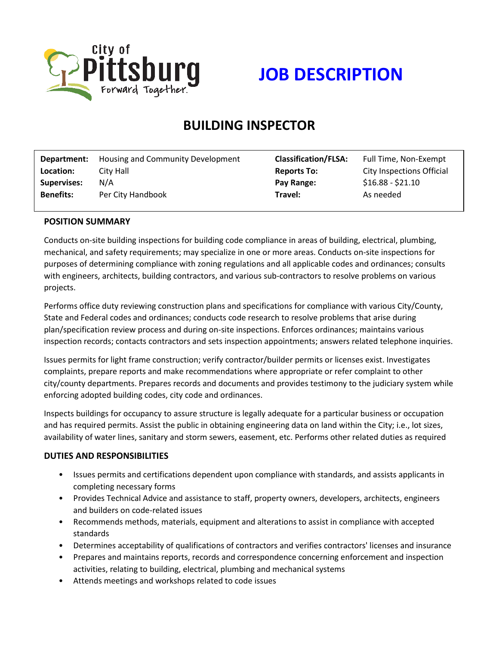



# **BUILDING INSPECTOR**

| Department:        | Housing and Community Development | <b>Classification/FLSA:</b> | Full Time, Non-Exempt     |
|--------------------|-----------------------------------|-----------------------------|---------------------------|
| Location:          | City Hall                         | <b>Reports To:</b>          | City Inspections Official |
| <b>Supervises:</b> | N/A                               | Pay Range:                  | $$16.88 - $21.10$         |
| <b>Benefits:</b>   | Per City Handbook                 | Travel:                     | As needed                 |
|                    |                                   |                             |                           |

#### **POSITION SUMMARY**

Conducts on-site building inspections for building code compliance in areas of building, electrical, plumbing, mechanical, and safety requirements; may specialize in one or more areas. Conducts on-site inspections for purposes of determining compliance with zoning regulations and all applicable codes and ordinances; consults with engineers, architects, building contractors, and various sub-contractors to resolve problems on various projects.

Performs office duty reviewing construction plans and specifications for compliance with various City/County, State and Federal codes and ordinances; conducts code research to resolve problems that arise during plan/specification review process and during on-site inspections. Enforces ordinances; maintains various inspection records; contacts contractors and sets inspection appointments; answers related telephone inquiries.

Issues permits for light frame construction; verify contractor/builder permits or licenses exist. Investigates complaints, prepare reports and make recommendations where appropriate or refer complaint to other city/county departments. Prepares records and documents and provides testimony to the judiciary system while enforcing adopted building codes, city code and ordinances.

Inspects buildings for occupancy to assure structure is legally adequate for a particular business or occupation and has required permits. Assist the public in obtaining engineering data on land within the City; i.e., lot sizes, availability of water lines, sanitary and storm sewers, easement, etc. Performs other related duties as required

### **DUTIES AND RESPONSIBILITIES**

- Issues permits and certifications dependent upon compliance with standards, and assists applicants in completing necessary forms
- Provides Technical Advice and assistance to staff, property owners, developers, architects, engineers and builders on code-related issues
- Recommends methods, materials, equipment and alterations to assist in compliance with accepted standards
- Determines acceptability of qualifications of contractors and verifies contractors' licenses and insurance
- Prepares and maintains reports, records and correspondence concerning enforcement and inspection activities, relating to building, electrical, plumbing and mechanical systems
- Attends meetings and workshops related to code issues